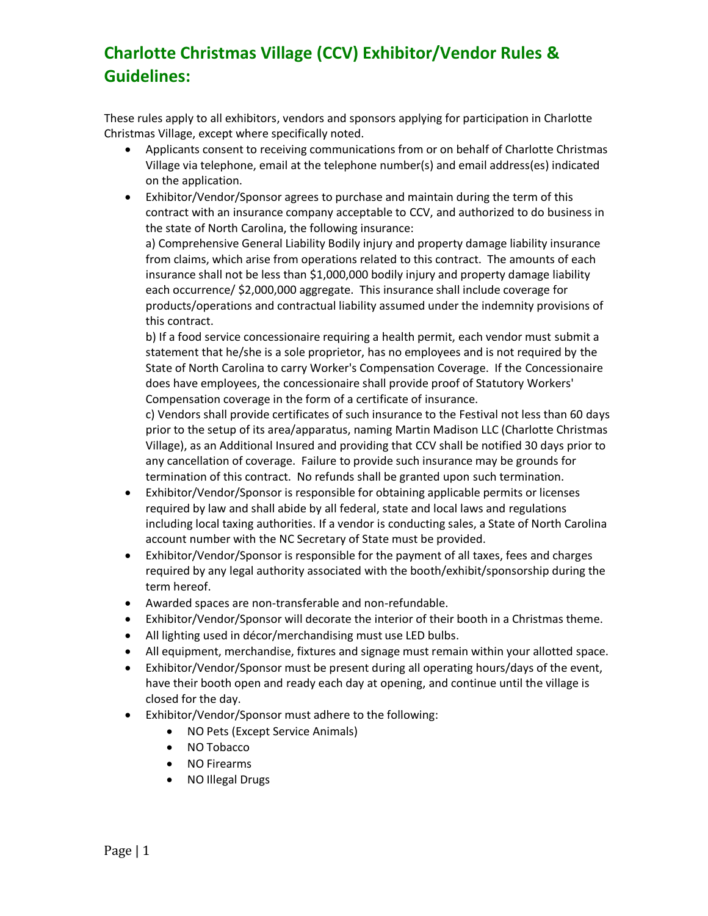## **Charlotte Christmas Village (CCV) Exhibitor/Vendor Rules & Guidelines:**

These rules apply to all exhibitors, vendors and sponsors applying for participation in Charlotte Christmas Village, except where specifically noted.

- Applicants consent to receiving communications from or on behalf of Charlotte Christmas Village via telephone, email at the telephone number(s) and email address(es) indicated on the application.
- Exhibitor/Vendor/Sponsor agrees to purchase and maintain during the term of this contract with an insurance company acceptable to CCV, and authorized to do business in the state of North Carolina, the following insurance:

a) Comprehensive General Liability Bodily injury and property damage liability insurance from claims, which arise from operations related to this contract. The amounts of each insurance shall not be less than \$1,000,000 bodily injury and property damage liability each occurrence/ \$2,000,000 aggregate. This insurance shall include coverage for products/operations and contractual liability assumed under the indemnity provisions of this contract.

b) If a food service concessionaire requiring a health permit, each vendor must submit a statement that he/she is a sole proprietor, has no employees and is not required by the State of North Carolina to carry Worker's Compensation Coverage. If the Concessionaire does have employees, the concessionaire shall provide proof of Statutory Workers' Compensation coverage in the form of a certificate of insurance.

c) Vendors shall provide certificates of such insurance to the Festival not less than 60 days prior to the setup of its area/apparatus, naming Martin Madison LLC (Charlotte Christmas Village), as an Additional Insured and providing that CCV shall be notified 30 days prior to any cancellation of coverage. Failure to provide such insurance may be grounds for termination of this contract. No refunds shall be granted upon such termination.

- Exhibitor/Vendor/Sponsor is responsible for obtaining applicable permits or licenses required by law and shall abide by all federal, state and local laws and regulations including local taxing authorities. If a vendor is conducting sales, a State of North Carolina account number with the NC Secretary of State must be provided.
- Exhibitor/Vendor/Sponsor is responsible for the payment of all taxes, fees and charges required by any legal authority associated with the booth/exhibit/sponsorship during the term hereof.
- Awarded spaces are non-transferable and non-refundable.
- Exhibitor/Vendor/Sponsor will decorate the interior of their booth in a Christmas theme.
- All lighting used in décor/merchandising must use LED bulbs.
- All equipment, merchandise, fixtures and signage must remain within your allotted space.
- Exhibitor/Vendor/Sponsor must be present during all operating hours/days of the event, have their booth open and ready each day at opening, and continue until the village is closed for the day.
- Exhibitor/Vendor/Sponsor must adhere to the following:
	- NO Pets (Except Service Animals)
	- NO Tobacco
	- NO Firearms
	- NO Illegal Drugs